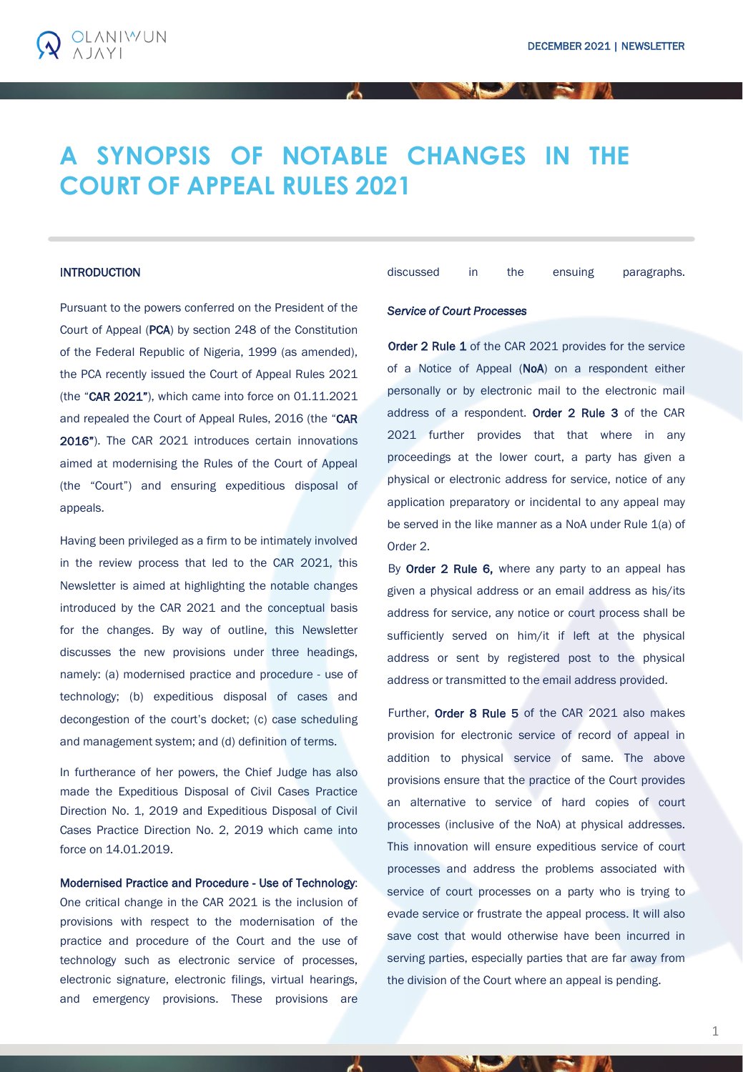

# **INTRODUCTION**

**OLANIWUN** 

Pursuant to the powers conferred on the President of the Court of Appeal (PCA) by section 248 of the Constitution of the Federal Republic of Nigeria, 1999 (as amended), the PCA recently issued the Court of Appeal Rules 2021 (the "CAR 2021"), which came into force on 01.11.2021 and repealed the Court of Appeal Rules, 2016 (the "CAR 2016"). The CAR 2021 introduces certain innovations aimed at modernising the Rules of the Court of Appeal (the "Court") and ensuring expeditious disposal of appeals.

Having been privileged as a firm to be intimately involved in the review process that led to the CAR 2021, this Newsletter is aimed at highlighting the notable changes introduced by the CAR 2021 and the conceptual basis for the changes. By way of outline, this Newsletter discusses the new provisions under three headings, namely: (a) modernised practice and procedure - use of technology; (b) expeditious disposal of cases and decongestion of the court's docket; (c) case scheduling and management system; and (d) definition of terms.

In furtherance of her powers, the Chief Judge has also made the Expeditious Disposal of Civil Cases Practice Direction No. 1, 2019 and Expeditious Disposal of Civil Cases Practice Direction No. 2, 2019 which came into force on 14.01.2019.

Modernised Practice and Procedure - Use of Technology: One critical change in the CAR 2021 is the inclusion of provisions with respect to the modernisation of the practice and procedure of the Court and the use of technology such as electronic service of processes, electronic signature, electronic filings, virtual hearings, and emergency provisions. These provisions are

discussed in the ensuing paragraphs.

### *Service of Court Processes*

Order 2 Rule 1 of the CAR 2021 provides for the service of a Notice of Appeal (NoA) on a respondent either personally or by electronic mail to the electronic mail address of a respondent. Order 2 Rule 3 of the CAR 2021 further provides that that where in any proceedings at the lower court, a party has given a physical or electronic address for service, notice of any application preparatory or incidental to any appeal may be served in the like manner as a NoA under Rule 1(a) of Order 2.

By Order 2 Rule 6, where any party to an appeal has given a physical address or an email address as his/its address for service, any notice or court process shall be sufficiently served on him/it if left at the physical address or sent by registered post to the physical address or transmitted to the email address provided.

Further, Order 8 Rule 5 of the CAR 2021 also makes provision for electronic service of record of appeal in addition to physical service of same. The above provisions ensure that the practice of the Court provides an alternative to service of hard copies of court processes (inclusive of the NoA) at physical addresses. This innovation will ensure expeditious service of court processes and address the problems associated with service of court processes on a party who is trying to evade service or frustrate the appeal process. It will also save cost that would otherwise have been incurred in serving parties, especially parties that are far away from the division of the Court where an appeal is pending.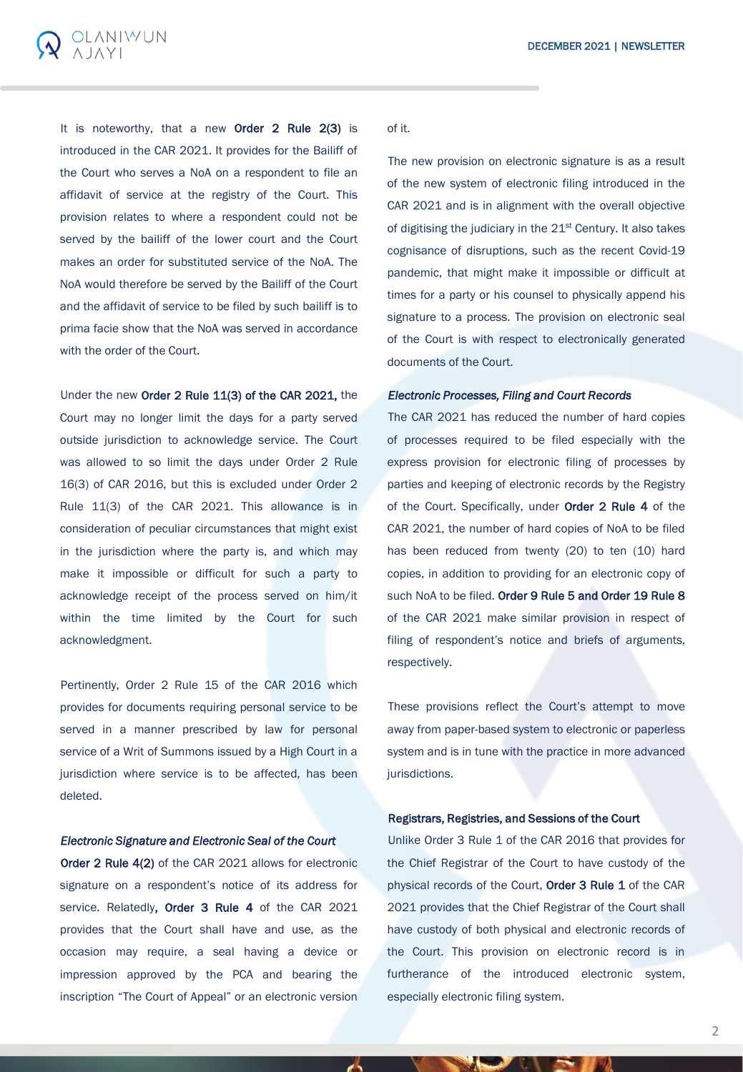

It is noteworthy, that a new Order 2 Rule 2(3) is introduced in the CAR 2021. It provides for the Bailiff of the Court who serves a NoA on a respondent to file an affidavit of service at the registry of the Court. This provision relates to where a respondent could not be served by the bailiff of the lower court and the Court makes an order for substituted service of the NoA. The NoA would therefore be served by the Bailiff of the Court and the affidavit of service to be filed by such bailiff is to prima facie show that the NoA was served in accordance with the order of the Court.

Under the new Order 2 Rule 11(3) of the CAR 2021, the

Court may no longer limit the days for a party served outside jurisdiction to acknowledge service. The Court was allowed to so limit the days under Order 2 Rule 16(3) of CAR 2016, but this is excluded under Order 2 Rule 11(3) of the CAR 2021. This allowance is in consideration of peculiar circumstances that might exist in the jurisdiction where the party is, and which may make it impossible or difficult for such a party to acknowledge receipt of the process served on him/it within the time limited by the Court for such acknowledgment.

Pertinently, Order 2 Rule 15 of the CAR 2016 which provides for documents requiring personal service to be served in a manner prescribed by law for personal service of a Writ of Summons issued by a High Court in a jurisdiction where service is to be affected, has been deleted.

# *Electronic Signature and Electronic Seal of the Court*

Order 2 Rule 4(2) of the CAR 2021 allows for electronic signature on a respondent's notice of its address for service. Relatedly, Order 3 Rule 4 of the CAR 2021 provides that the Court shall have and use, as the occasion may require, a seal having a device or impression approved by the PCA and bearing the inscription "The Court of Appeal" or an electronic version

#### of it.

The new provision on electronic signature is as a result of the new system of electronic filing introduced in the CAR 2021 and is in alignment with the overall objective of digitising the judiciary in the 21<sup>st</sup> Century. It also takes cognisance of disruptions, such as the recent Covid-19 pandemic, that might make it impossible or difficult at times for a party or his counsel to physically append his signature to a process. The provision on electronic seal of the Court is with respect to electronically generated documents of the Court.

# *Electronic Processes, Filing and Court Records*

The CAR 2021 has reduced the number of hard copies of processes required to be filed especially with the express provision for electronic filing of processes by parties and keeping of electronic records by the Registry of the Court. Specifically, under Order 2 Rule 4 of the CAR 2021, the number of hard copies of NoA to be filed has been reduced from twenty (20) to ten (10) hard copies, in addition to providing for an electronic copy of such NoA to be filed. Order 9 Rule 5 and Order 19 Rule 8 of the CAR 2021 make similar provision in respect of filing of respondent's notice and briefs of arguments, respectively.

These provisions reflect the Court's attempt to move away from paper-based system to electronic or paperless system and is in tune with the practice in more advanced jurisdictions.

## Registrars, Registries, and Sessions of the Court

Unlike Order 3 Rule 1 of the CAR 2016 that provides for the Chief Registrar of the Court to have custody of the physical records of the Court, Order 3 Rule 1 of the CAR 2021 provides that the Chief Registrar of the Court shall have custody of both physical and electronic records of the Court. This provision on electronic record is in furtherance of the introduced electronic system, especially electronic filing system.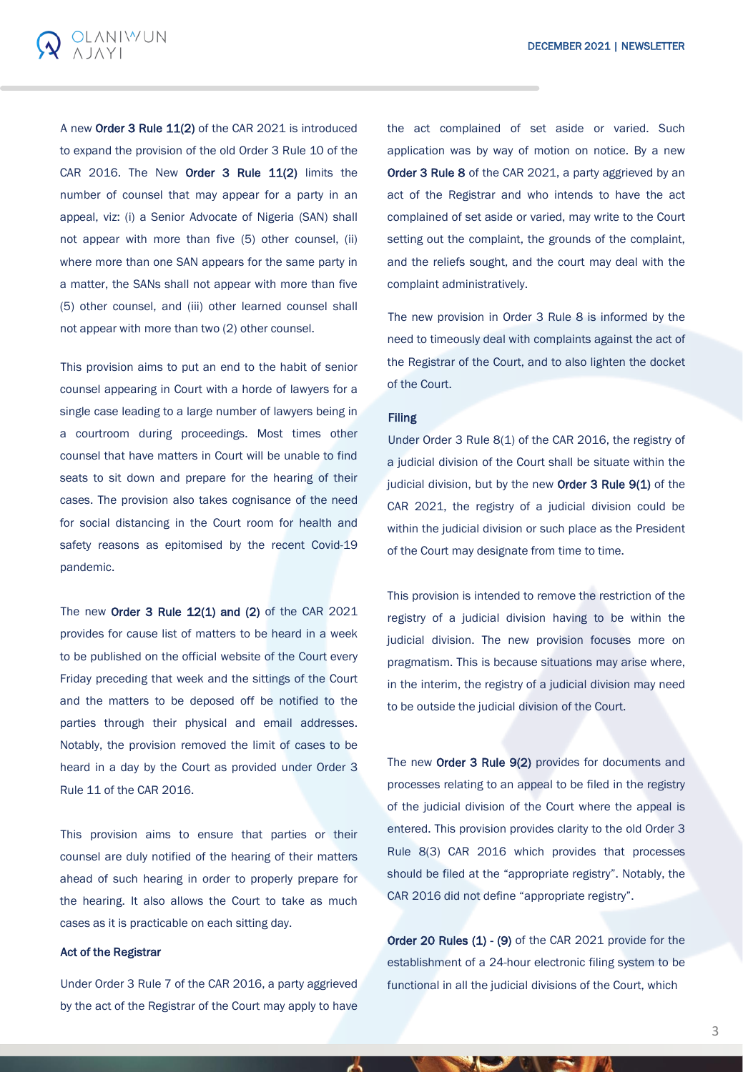

A new Order 3 Rule 11(2) of the CAR 2021 is introduced to expand the provision of the old Order 3 Rule 10 of the CAR 2016. The New Order 3 Rule 11(2) limits the number of counsel that may appear for a party in an appeal, viz: (i) a Senior Advocate of Nigeria (SAN) shall not appear with more than five (5) other counsel, (ii) where more than one SAN appears for the same party in a matter, the SANs shall not appear with more than five (5) other counsel, and (iii) other learned counsel shall not appear with more than two (2) other counsel.

This provision aims to put an end to the habit of senior counsel appearing in Court with a horde of lawyers for a single case leading to a large number of lawyers being in a courtroom during proceedings. Most times other counsel that have matters in Court will be unable to find seats to sit down and prepare for the hearing of their cases. The provision also takes cognisance of the need for social distancing in the Court room for health and safety reasons as epitomised by the recent Covid-19 pandemic.

The new Order  $3$  Rule  $12(1)$  and  $(2)$  of the CAR 2021 provides for cause list of matters to be heard in a week to be published on the official website of the Court every Friday preceding that week and the sittings of the Court and the matters to be deposed off be notified to the parties through their physical and email addresses. Notably, the provision removed the limit of cases to be heard in a day by the Court as provided under Order 3 Rule 11 of the CAR 2016.

This provision aims to ensure that parties or their counsel are duly notified of the hearing of their matters ahead of such hearing in order to properly prepare for the hearing. It also allows the Court to take as much cases as it is practicable on each sitting day.

### Act of the Registrar

Under Order 3 Rule 7 of the CAR 2016, a party aggrieved by the act of the Registrar of the Court may apply to have

the act complained of set aside or varied. Such application was by way of motion on notice. By a new Order 3 Rule 8 of the CAR 2021, a party aggrieved by an act of the Registrar and who intends to have the act complained of set aside or varied, may write to the Court setting out the complaint, the grounds of the complaint, and the reliefs sought, and the court may deal with the complaint administratively.

The new provision in Order 3 Rule 8 is informed by the need to timeously deal with complaints against the act of the Registrar of the Court, and to also lighten the docket of the Court.

#### Filing

Under Order 3 Rule 8(1) of the CAR 2016, the registry of a judicial division of the Court shall be situate within the judicial division, but by the new Order 3 Rule 9(1) of the CAR 2021, the registry of a judicial division could be within the judicial division or such place as the President of the Court may designate from time to time.

This provision is intended to remove the restriction of the registry of a judicial division having to be within the judicial division. The new provision focuses more on pragmatism. This is because situations may arise where, in the interim, the registry of a judicial division may need to be outside the judicial division of the Court.

The new Order 3 Rule 9(2) provides for documents and processes relating to an appeal to be filed in the registry of the judicial division of the Court where the appeal is entered. This provision provides clarity to the old Order 3 Rule 8(3) CAR 2016 which provides that processes should be filed at the "appropriate registry". Notably, the CAR 2016 did not define "appropriate registry".

Order 20 Rules (1) - (9) of the CAR 2021 provide for the establishment of a 24-hour electronic filing system to be functional in all the judicial divisions of the Court, which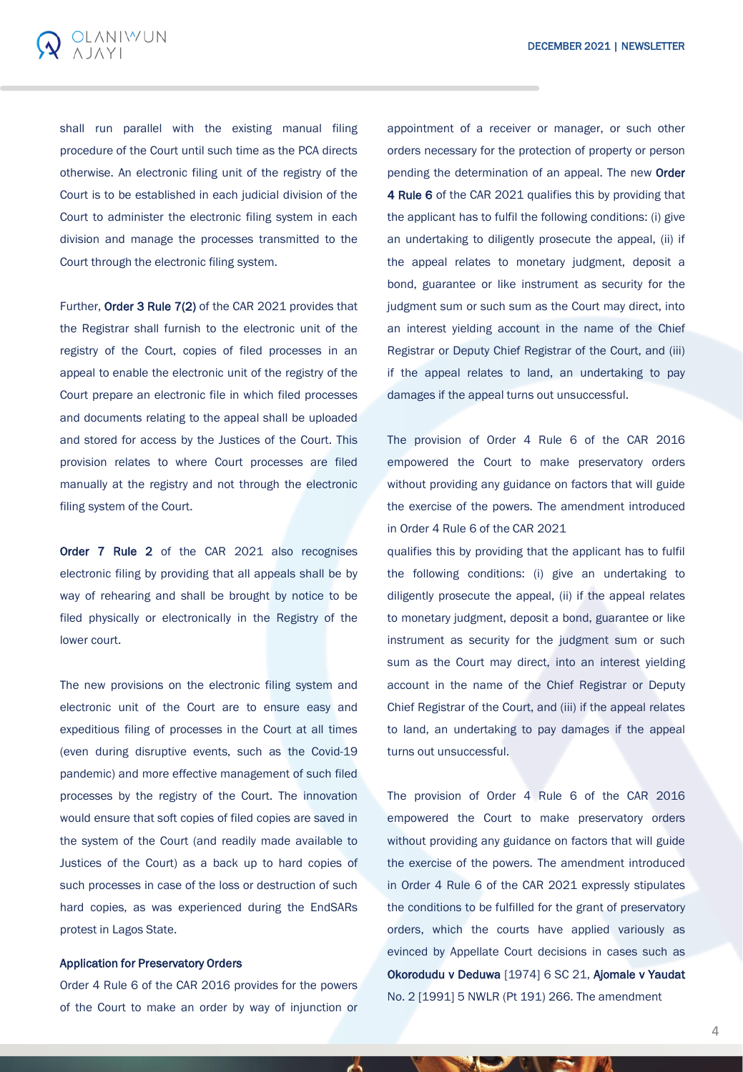

shall run parallel with the existing manual filing procedure of the Court until such time as the PCA directs otherwise. An electronic filing unit of the registry of the Court is to be established in each judicial division of the Court to administer the electronic filing system in each division and manage the processes transmitted to the Court through the electronic filing system.

Further, Order 3 Rule 7(2) of the CAR 2021 provides that the Registrar shall furnish to the electronic unit of the registry of the Court, copies of filed processes in an appeal to enable the electronic unit of the registry of the Court prepare an electronic file in which filed processes and documents relating to the appeal shall be uploaded and stored for access by the Justices of the Court. This provision relates to where Court processes are filed manually at the registry and not through the electronic filing system of the Court.

Order 7 Rule 2 of the CAR 2021 also recognises electronic filing by providing that all appeals shall be by way of rehearing and shall be brought by notice to be filed physically or electronically in the Registry of the lower court.

The new provisions on the electronic filing system and electronic unit of the Court are to ensure easy and expeditious filing of processes in the Court at all times (even during disruptive events, such as the Covid-19 pandemic) and more effective management of such filed processes by the registry of the Court. The innovation would ensure that soft copies of filed copies are saved in the system of the Court (and readily made available to Justices of the Court) as a back up to hard copies of such processes in case of the loss or destruction of such hard copies, as was experienced during the EndSARs protest in Lagos State.

### Application for Preservatory Orders

Order 4 Rule 6 of the CAR 2016 provides for the powers of the Court to make an order by way of injunction or

appointment of a receiver or manager, or such other orders necessary for the protection of property or person pending the determination of an appeal. The new Order 4 Rule 6 of the CAR 2021 qualifies this by providing that the applicant has to fulfil the following conditions: (i) give an undertaking to diligently prosecute the appeal, (ii) if the appeal relates to monetary judgment, deposit a bond, guarantee or like instrument as security for the judgment sum or such sum as the Court may direct, into an interest yielding account in the name of the Chief Registrar or Deputy Chief Registrar of the Court, and (iii) if the appeal relates to land, an undertaking to pay damages if the appeal turns out unsuccessful.

The provision of Order 4 Rule 6 of the CAR 2016 empowered the Court to make preservatory orders without providing any guidance on factors that will guide the exercise of the powers. The amendment introduced in Order 4 Rule 6 of the CAR 2021

qualifies this by providing that the applicant has to fulfil the following conditions: (i) give an undertaking to diligently prosecute the appeal, (ii) if the appeal relates to monetary judgment, deposit a bond, guarantee or like instrument as security for the judgment sum or such sum as the Court may direct, into an interest yielding account in the name of the Chief Registrar or Deputy Chief Registrar of the Court, and (iii) if the appeal relates to land, an undertaking to pay damages if the appeal turns out unsuccessful.

The provision of Order 4 Rule 6 of the CAR 2016 empowered the Court to make preservatory orders without providing any guidance on factors that will guide the exercise of the powers. The amendment introduced in Order 4 Rule 6 of the CAR 2021 expressly stipulates the conditions to be fulfilled for the grant of preservatory orders, which the courts have applied variously as evinced by Appellate Court decisions in cases such as Okorodudu v Deduwa [1974] 6 SC 21, Ajomale v Yaudat No. 2 [1991] 5 NWLR (Pt 191) 266. The amendment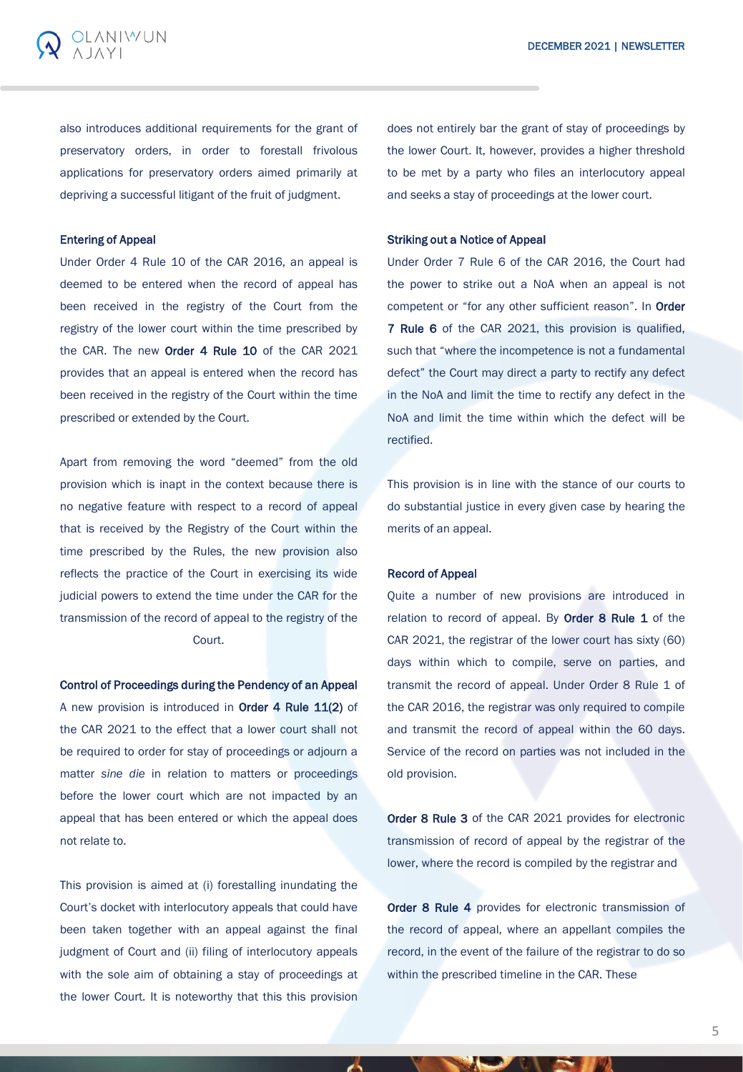also introduces additional requirements for the grant of preservatory orders, in order to forestall frivolous applications for preservatory orders aimed primarily at depriving a successful litigant of the fruit of judgment.

## Entering of Appeal

**DLANIWUN** 

Under Order 4 Rule 10 of the CAR 2016, an appeal is deemed to be entered when the record of appeal has been received in the registry of the Court from the registry of the lower court within the time prescribed by the CAR. The new **Order 4 Rule 10** of the CAR 2021 provides that an appeal is entered when the record has been received in the registry of the Court within the time prescribed or extended by the Court.

Apart from removing the word "deemed" from the old provision which is inapt in the context because there is no negative feature with respect to a record of appeal that is received by the Registry of the Court within the time prescribed by the Rules, the new provision also reflects the practice of the Court in exercising its wide judicial powers to extend the time under the CAR for the transmission of the record of appeal to the registry of the Court.

Control of Proceedings during the Pendency of an Appeal A new provision is introduced in **Order 4 Rule 11(2)** of the CAR 2021 to the effect that a lower court shall not be required to order for stay of proceedings or adjourn a matter *sine die* in relation to matters or proceedings before the lower court which are not impacted by an appeal that has been entered or which the appeal does not relate to.

This provision is aimed at (i) forestalling inundating the Court's docket with interlocutory appeals that could have been taken together with an appeal against the final judgment of Court and (ii) filing of interlocutory appeals with the sole aim of obtaining a stay of proceedings at the lower Court. It is noteworthy that this this provision

does not entirely bar the grant of stay of proceedings by the lower Court. It, however, provides a higher threshold to be met by a party who files an interlocutory appeal and seeks a stay of proceedings at the lower court.

### Striking out a Notice of Appeal

Under Order 7 Rule 6 of the CAR 2016, the Court had the power to strike out a NoA when an appeal is not competent or "for any other sufficient reason". In Order 7 Rule 6 of the CAR 2021, this provision is qualified, such that "where the incompetence is not a fundamental defect" the Court may direct a party to rectify any defect in the NoA and limit the time to rectify any defect in the NoA and limit the time within which the defect will be rectified.

This provision is in line with the stance of our courts to do substantial justice in every given case by hearing the merits of an appeal.

#### Record of Appeal

Quite a number of new provisions are introduced in relation to record of appeal. By Order 8 Rule 1 of the CAR 2021, the registrar of the lower court has sixty (60) days within which to compile, serve on parties, and transmit the record of appeal. Under Order 8 Rule 1 of the CAR 2016, the registrar was only required to compile and transmit the record of appeal within the 60 days. Service of the record on parties was not included in the old provision.

Order 8 Rule 3 of the CAR 2021 provides for electronic transmission of record of appeal by the registrar of the lower, where the record is compiled by the registrar and

Order 8 Rule 4 provides for electronic transmission of the record of appeal, where an appellant compiles the record, in the event of the failure of the registrar to do so within the prescribed timeline in the CAR. These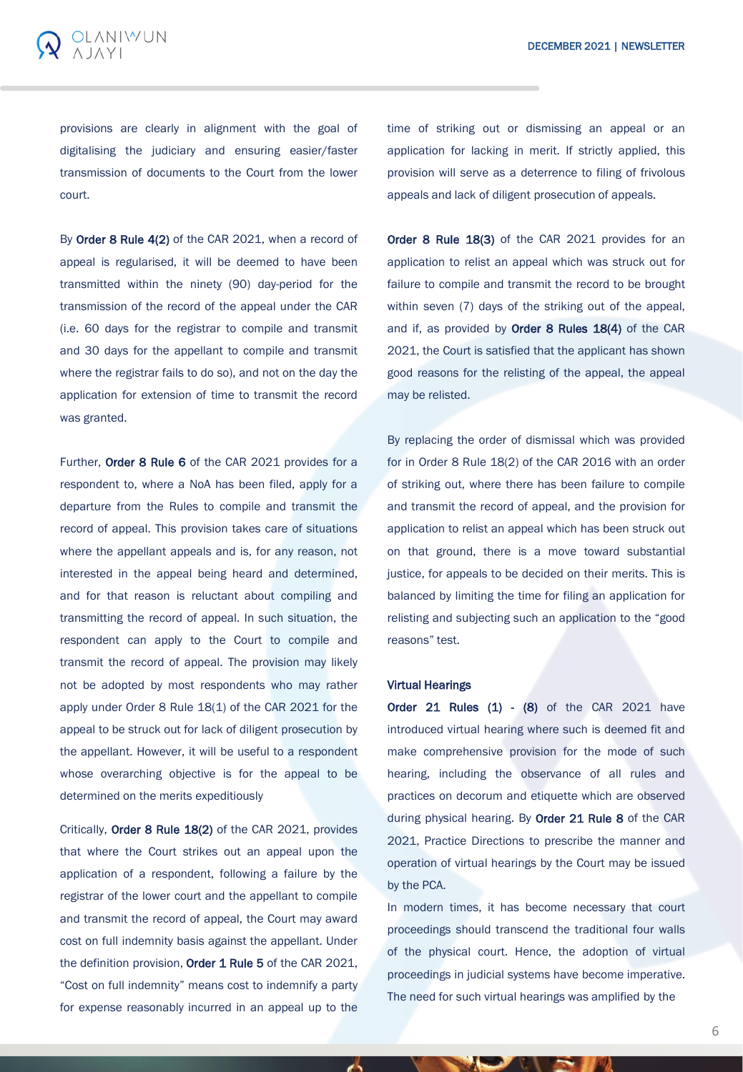

provisions are clearly in alignment with the goal of digitalising the judiciary and ensuring easier/faster transmission of documents to the Court from the lower court.

By Order 8 Rule 4(2) of the CAR 2021, when a record of appeal is regularised, it will be deemed to have been transmitted within the ninety (90) day-period for the transmission of the record of the appeal under the CAR (i.e. 60 days for the registrar to compile and transmit and 30 days for the appellant to compile and transmit where the registrar fails to do so), and not on the day the application for extension of time to transmit the record was granted.

Further, Order 8 Rule 6 of the CAR 2021 provides for a respondent to, where a NoA has been filed, apply for a departure from the Rules to compile and transmit the record of appeal. This provision takes care of situations where the appellant appeals and is, for any reason, not interested in the appeal being heard and determined, and for that reason is reluctant about compiling and transmitting the record of appeal. In such situation, the respondent can apply to the Court to compile and transmit the record of appeal. The provision may likely not be adopted by most respondents who may rather apply under Order 8 Rule 18(1) of the CAR 2021 for the appeal to be struck out for lack of diligent prosecution by the appellant. However, it will be useful to a respondent whose overarching objective is for the appeal to be determined on the merits expeditiously

Critically, Order 8 Rule 18(2) of the CAR 2021, provides that where the Court strikes out an appeal upon the application of a respondent, following a failure by the registrar of the lower court and the appellant to compile and transmit the record of appeal, the Court may award cost on full indemnity basis against the appellant. Under the definition provision, Order 1 Rule 5 of the CAR 2021, "Cost on full indemnity" means cost to indemnify a party for expense reasonably incurred in an appeal up to the

time of striking out or dismissing an appeal or an application for lacking in merit. If strictly applied, this provision will serve as a deterrence to filing of frivolous appeals and lack of diligent prosecution of appeals.

Order 8 Rule 18(3) of the CAR 2021 provides for an application to relist an appeal which was struck out for failure to compile and transmit the record to be brought within seven (7) days of the striking out of the appeal, and if, as provided by Order 8 Rules 18(4) of the CAR 2021, the Court is satisfied that the applicant has shown good reasons for the relisting of the appeal, the appeal may be relisted.

By replacing the order of dismissal which was provided for in Order 8 Rule 18(2) of the CAR 2016 with an order of striking out, where there has been failure to compile and transmit the record of appeal, and the provision for application to relist an appeal which has been struck out on that ground, there is a move toward substantial justice, for appeals to be decided on their merits. This is balanced by limiting the time for filing an application for relisting and subjecting such an application to the "good reasons" test.

#### Virtual Hearings

Order 21 Rules  $(1)$  -  $(8)$  of the CAR 2021 have introduced virtual hearing where such is deemed fit and make comprehensive provision for the mode of such hearing, including the observance of all rules and practices on decorum and etiquette which are observed during physical hearing. By **Order 21 Rule 8** of the CAR 2021, Practice Directions to prescribe the manner and operation of virtual hearings by the Court may be issued by the PCA.

In modern times, it has become necessary that court proceedings should transcend the traditional four walls of the physical court. Hence, the adoption of virtual proceedings in judicial systems have become imperative. The need for such virtual hearings was amplified by the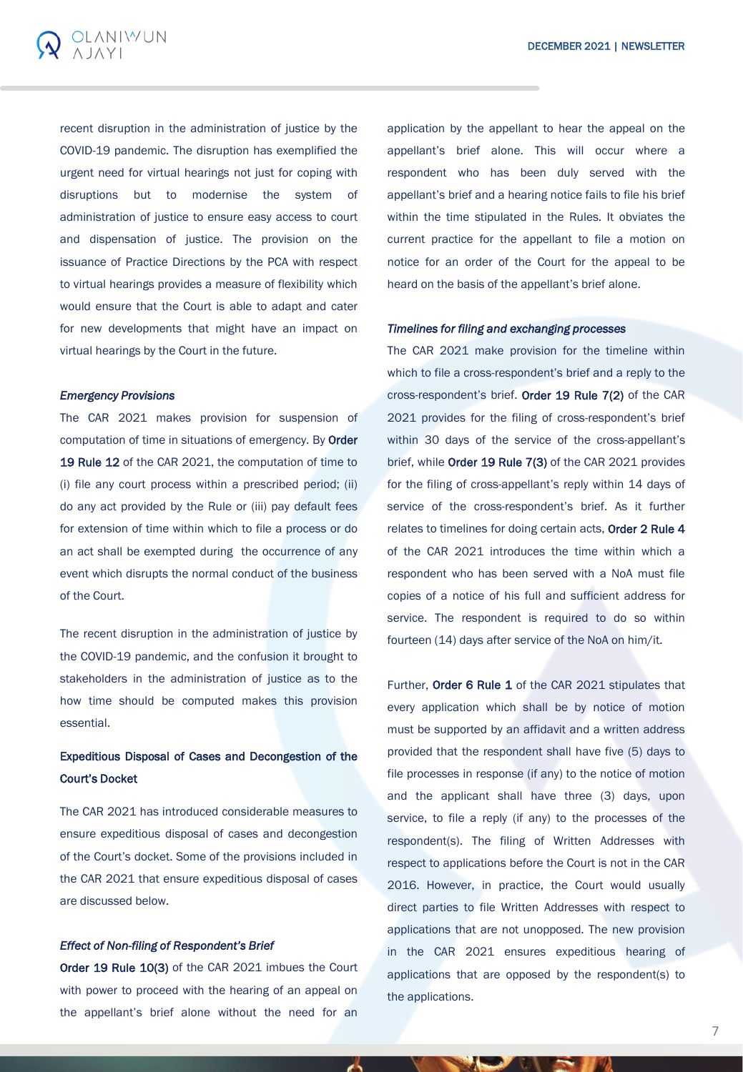

recent disruption in the administration of justice by the COVID-19 pandemic. The disruption has exemplified the urgent need for virtual hearings not just for coping with disruptions but to modernise the system of administration of justice to ensure easy access to court and dispensation of justice. The provision on the issuance of Practice Directions by the PCA with respect to virtual hearings provides a measure of flexibility which would ensure that the Court is able to adapt and cater for new developments that might have an impact on virtual hearings by the Court in the future.

### *Emergency Provisions*

The CAR 2021 makes provision for suspension of computation of time in situations of emergency. By Order 19 Rule 12 of the CAR 2021, the computation of time to (i) file any court process within a prescribed period; (ii) do any act provided by the Rule or (iii) pay default fees for extension of time within which to file a process or do an act shall be exempted during the occurrence of any event which disrupts the normal conduct of the business of the Court.

The recent disruption in the administration of justice by the COVID-19 pandemic, and the confusion it brought to stakeholders in the administration of justice as to the how time should be computed makes this provision essential.

# Expeditious Disposal of Cases and Decongestion of the Court's Docket

The CAR 2021 has introduced considerable measures to ensure expeditious disposal of cases and decongestion of the Court's docket. Some of the provisions included in the CAR 2021 that ensure expeditious disposal of cases are discussed below.

### *Effect of Non-filing of Respondent's Brief*

Order 19 Rule 10(3) of the CAR 2021 imbues the Court with power to proceed with the hearing of an appeal on the appellant's brief alone without the need for an

application by the appellant to hear the appeal on the appellant's brief alone. This will occur where a respondent who has been duly served with the appellant's brief and a hearing notice fails to file his brief within the time stipulated in the Rules. It obviates the current practice for the appellant to file a motion on notice for an order of the Court for the appeal to be heard on the basis of the appellant's brief alone.

## *Timelines for filing and exchanging processes*

The CAR 2021 make provision for the timeline within which to file a cross-respondent's brief and a reply to the cross-respondent's brief. Order 19 Rule 7(2) of the CAR 2021 provides for the filing of cross-respondent's brief within 30 days of the service of the cross-appellant's brief, while Order 19 Rule 7(3) of the CAR 2021 provides for the filing of cross-appellant's reply within 14 days of service of the cross-respondent's brief. As it further relates to timelines for doing certain acts, Order 2 Rule 4 of the CAR 2021 introduces the time within which a respondent who has been served with a NoA must file copies of a notice of his full and sufficient address for service. The respondent is required to do so within fourteen (14) days after service of the NoA on him/it.

Further, Order 6 Rule 1 of the CAR 2021 stipulates that every application which shall be by notice of motion must be supported by an affidavit and a written address provided that the respondent shall have five (5) days to file processes in response (if any) to the notice of motion and the applicant shall have three (3) days, upon service, to file a reply (if any) to the processes of the respondent(s). The filing of Written Addresses with respect to applications before the Court is not in the CAR 2016. However, in practice, the Court would usually direct parties to file Written Addresses with respect to applications that are not unopposed. The new provision in the CAR 2021 ensures expeditious hearing of applications that are opposed by the respondent(s) to the applications.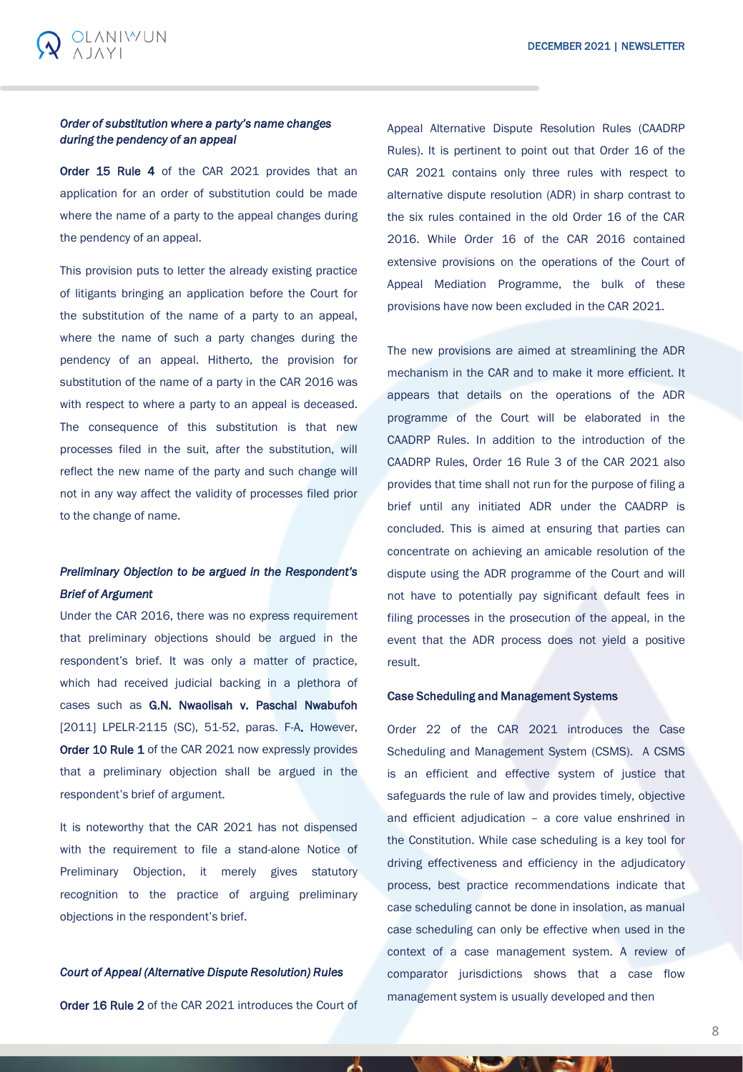# *Order of substitution where a party's name changes during the pendency of an appeal*

**OLANIWUN** 

Order 15 Rule 4 of the CAR 2021 provides that an application for an order of substitution could be made where the name of a party to the appeal changes during the pendency of an appeal.

This provision puts to letter the already existing practice of litigants bringing an application before the Court for the substitution of the name of a party to an appeal, where the name of such a party changes during the pendency of an appeal. Hitherto, the provision for substitution of the name of a party in the CAR 2016 was with respect to where a party to an appeal is deceased. The consequence of this substitution is that new processes filed in the suit, after the substitution, will reflect the new name of the party and such change will not in any way affect the validity of processes filed prior to the change of name.

# *Preliminary Objection to be argued in the Respondent's Brief of Argument*

Under the CAR 2016, there was no express requirement that preliminary objections should be argued in the respondent's brief. It was only a matter of practice, which had received judicial backing in a plethora of cases such as G.N. Nwaolisah v. Paschal Nwabufoh [2011] LPELR-2115 (SC), 51-52, paras. F-A. However, Order 10 Rule 1 of the CAR 2021 now expressly provides that a preliminary objection shall be argued in the respondent's brief of argument.

It is noteworthy that the CAR 2021 has not dispensed with the requirement to file a stand-alone Notice of Preliminary Objection, it merely gives statutory recognition to the practice of arguing preliminary objections in the respondent's brief.

### *Court of Appeal (Alternative Dispute Resolution) Rules*

Order 16 Rule 2 of the CAR 2021 introduces the Court of

Appeal Alternative Dispute Resolution Rules (CAADRP Rules). It is pertinent to point out that Order 16 of the CAR 2021 contains only three rules with respect to alternative dispute resolution (ADR) in sharp contrast to the six rules contained in the old Order 16 of the CAR 2016. While Order 16 of the CAR 2016 contained extensive provisions on the operations of the Court of Appeal Mediation Programme, the bulk of these provisions have now been excluded in the CAR 2021.

The new provisions are aimed at streamlining the ADR mechanism in the CAR and to make it more efficient. It appears that details on the operations of the ADR programme of the Court will be elaborated in the CAADRP Rules. In addition to the introduction of the CAADRP Rules, Order 16 Rule 3 of the CAR 2021 also provides that time shall not run for the purpose of filing a brief until any initiated ADR under the CAADRP is concluded. This is aimed at ensuring that parties can concentrate on achieving an amicable resolution of the dispute using the ADR programme of the Court and will not have to potentially pay significant default fees in filing processes in the prosecution of the appeal, in the event that the ADR process does not yield a positive result.

### Case Scheduling and Management Systems

Order 22 of the CAR 2021 introduces the Case Scheduling and Management System (CSMS). A CSMS is an efficient and effective system of justice that safeguards the rule of law and provides timely, objective and efficient adjudication – a core value enshrined in the Constitution. While case scheduling is a key tool for driving effectiveness and efficiency in the adjudicatory process, best practice recommendations indicate that case scheduling cannot be done in insolation, as manual case scheduling can only be effective when used in the context of a case management system. A review of comparator jurisdictions shows that a case flow management system is usually developed and then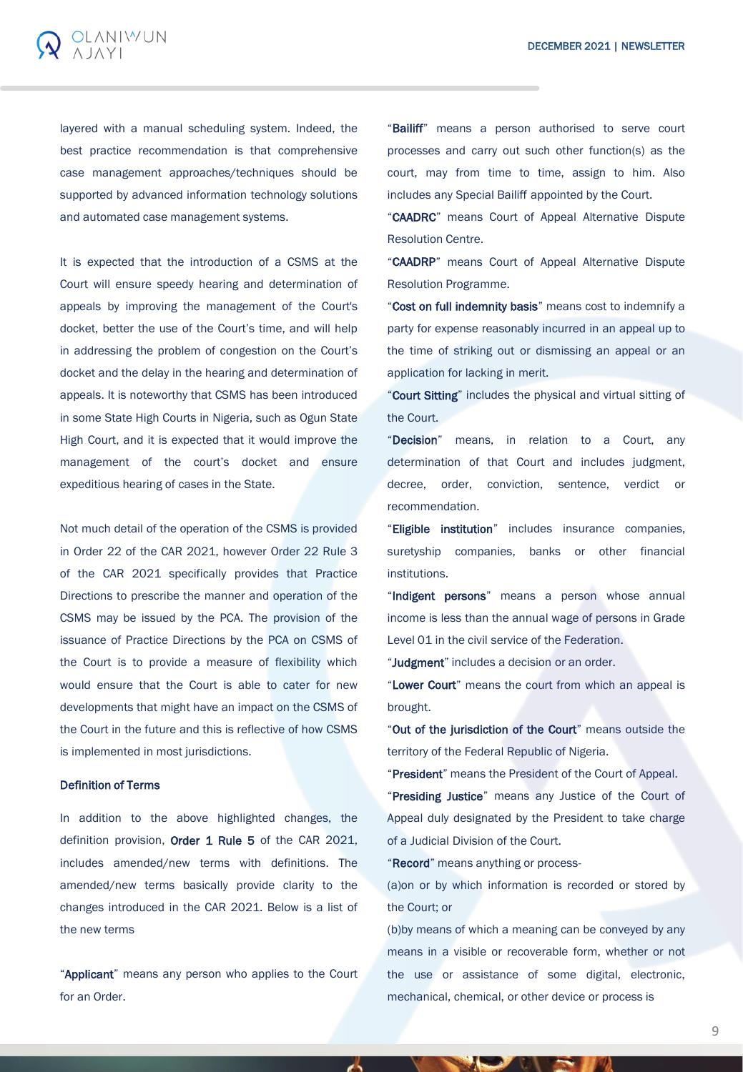

layered with a manual scheduling system. Indeed, the best practice recommendation is that comprehensive case management approaches/techniques should be supported by advanced information technology solutions and automated case management systems.

It is expected that the introduction of a CSMS at the Court will ensure speedy hearing and determination of appeals by improving the management of the Court's docket, better the use of the Court's time, and will help in addressing the problem of congestion on the Court's docket and the delay in the hearing and determination of appeals. It is noteworthy that CSMS has been introduced in some State High Courts in Nigeria, such as Ogun State High Court, and it is expected that it would improve the management of the court's docket and ensure expeditious hearing of cases in the State.

Not much detail of the operation of the CSMS is provided in Order 22 of the CAR 2021, however Order 22 Rule 3 of the CAR 2021 specifically provides that Practice Directions to prescribe the manner and operation of the CSMS may be issued by the PCA. The provision of the issuance of Practice Directions by the PCA on CSMS of the Court is to provide a measure of flexibility which would ensure that the Court is able to cater for new developments that might have an impact on the CSMS of the Court in the future and this is reflective of how CSMS is implemented in most jurisdictions.

# Definition of Terms

In addition to the above highlighted changes, the definition provision, Order 1 Rule 5 of the CAR 2021, includes amended/new terms with definitions. The amended/new terms basically provide clarity to the changes introduced in the CAR 2021. Below is a list of the new terms

"Applicant" means any person who applies to the Court for an Order.

"Bailiff" means a person authorised to serve court processes and carry out such other function(s) as the court, may from time to time, assign to him. Also includes any Special Bailiff appointed by the Court.

"CAADRC" means Court of Appeal Alternative Dispute Resolution Centre.

"CAADRP" means Court of Appeal Alternative Dispute Resolution Programme.

"Cost on full indemnity basis" means cost to indemnify a party for expense reasonably incurred in an appeal up to the time of striking out or dismissing an appeal or an application for lacking in merit.

"Court Sitting" includes the physical and virtual sitting of the Court.

"Decision" means, in relation to a Court, any determination of that Court and includes judgment, decree, order, conviction, sentence, verdict or recommendation.

"Eligible institution" includes insurance companies, suretyship companies, banks or other financial institutions.

"Indigent persons" means a person whose annual income is less than the annual wage of persons in Grade Level 01 in the civil service of the Federation.

"Judgment" includes a decision or an order.

"Lower Court" means the court from which an appeal is brought.

"Out of the jurisdiction of the Court" means outside the territory of the Federal Republic of Nigeria.

"President" means the President of the Court of Appeal.

"Presiding Justice" means any Justice of the Court of Appeal duly designated by the President to take charge of a Judicial Division of the Court.

"Record" means anything or process-

(a)on or by which information is recorded or stored by the Court; or

(b)by means of which a meaning can be conveyed by any means in a visible or recoverable form, whether or not the use or assistance of some digital, electronic, mechanical, chemical, or other device or process is